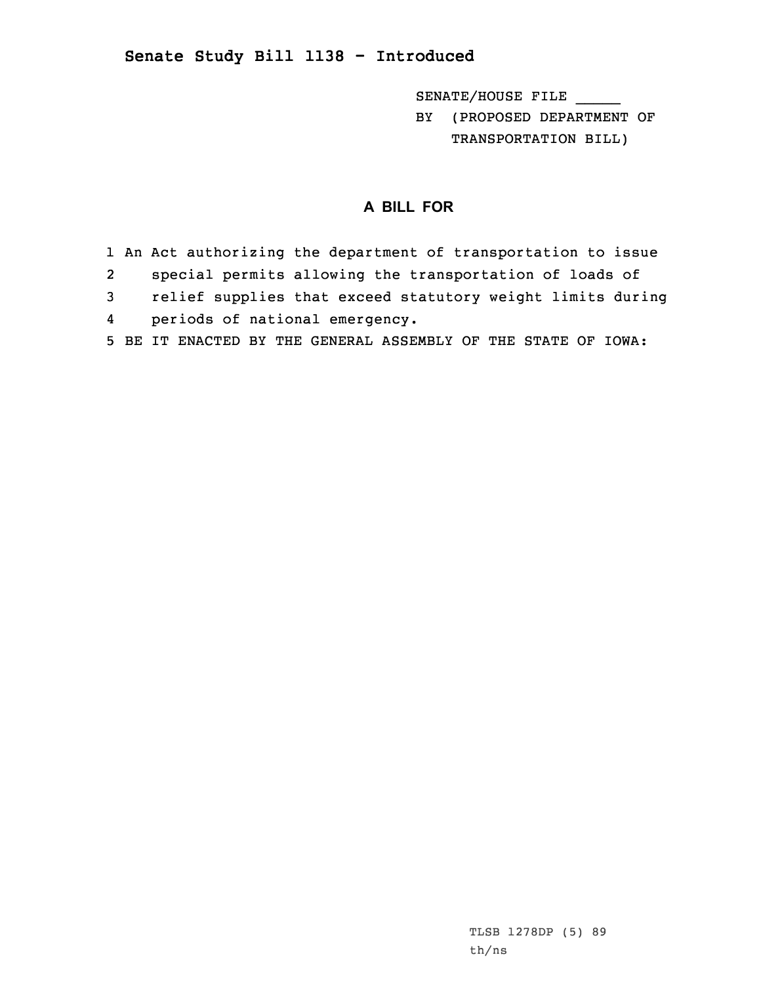## **Senate Study Bill 1138 - Introduced**

SENATE/HOUSE FILE \_\_\_\_\_

BY (PROPOSED DEPARTMENT OF TRANSPORTATION BILL)

## **A BILL FOR**

- 1 An Act authorizing the department of transportation to issue 2 special permits allowing the transportation of loads of 3 relief supplies that exceed statutory weight limits during 4periods of national emergency.
- 5 BE IT ENACTED BY THE GENERAL ASSEMBLY OF THE STATE OF IOWA: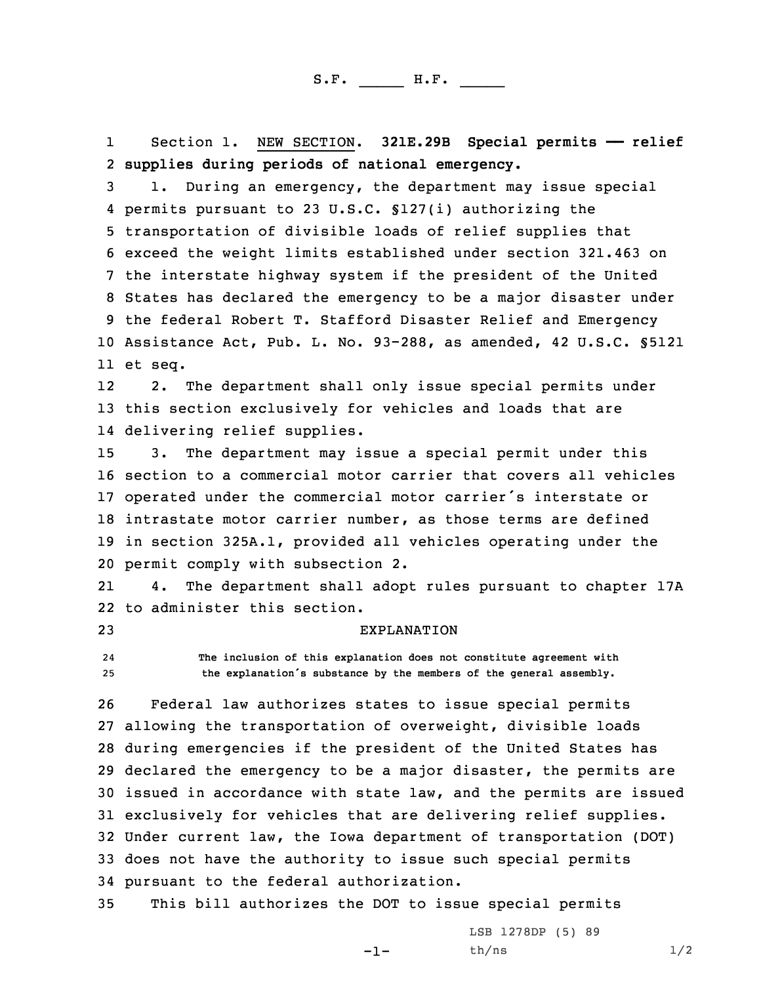1 Section 1. NEW SECTION. **321E.29B Special permits —— relief** 2 **supplies during periods of national emergency.**

 1. During an emergency, the department may issue special permits pursuant to 23 U.S.C. §127(i) authorizing the transportation of divisible loads of relief supplies that exceed the weight limits established under section 321.463 on the interstate highway system if the president of the United States has declared the emergency to be <sup>a</sup> major disaster under the federal Robert T. Stafford Disaster Relief and Emergency Assistance Act, Pub. L. No. 93-288, as amended, 42 U.S.C. §5121 11 et seq.

12 2. The department shall only issue special permits under 13 this section exclusively for vehicles and loads that are 14 delivering relief supplies.

 3. The department may issue <sup>a</sup> special permit under this section to <sup>a</sup> commercial motor carrier that covers all vehicles operated under the commercial motor carrier's interstate or intrastate motor carrier number, as those terms are defined in section 325A.1, provided all vehicles operating under the permit comply with subsection 2.

21 4. The department shall adopt rules pursuant to chapter 17A 22 to administer this section.

23 EXPLANATION

24 **The inclusion of this explanation does not constitute agreement with** <sup>25</sup> **the explanation's substance by the members of the general assembly.**

 Federal law authorizes states to issue special permits allowing the transportation of overweight, divisible loads during emergencies if the president of the United States has declared the emergency to be <sup>a</sup> major disaster, the permits are issued in accordance with state law, and the permits are issued exclusively for vehicles that are delivering relief supplies. Under current law, the Iowa department of transportation (DOT) does not have the authority to issue such special permits pursuant to the federal authorization.

35 This bill authorizes the DOT to issue special permits

-1-

LSB 1278DP (5) 89  $th/ns$   $1/2$